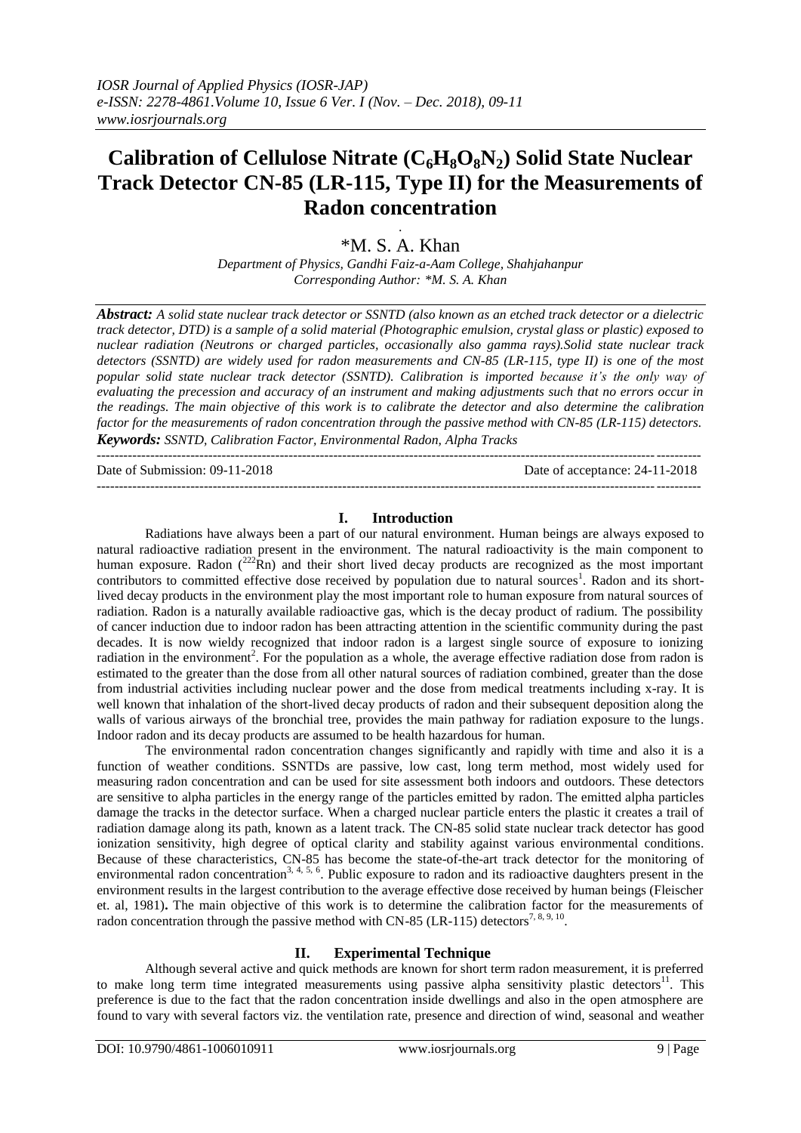# **Calibration of Cellulose Nitrate (C6H8O8N2) Solid State Nuclear Track Detector CN-85 (LR-115, Type II) for the Measurements of Radon concentration**

# . \*M. S. A. Khan

*Department of Physics, Gandhi Faiz-a-Aam College, Shahjahanpur Corresponding Author: \*M. S. A. Khan*

*Abstract: A solid state nuclear track detector or SSNTD (also known as an etched track detector or a dielectric track detector, DTD) is a sample of a solid material (Photographic emulsion, crystal glass or plastic) exposed to nuclear radiation (Neutrons or charged particles, occasionally also gamma rays).Solid state nuclear track detectors (SSNTD) are widely used for radon measurements and CN-85 (LR-115, type II) is one of the most popular solid state nuclear track detector (SSNTD). Calibration is imported because it's the only way of evaluating the precession and accuracy of an instrument and making adjustments such that no errors occur in the readings. The main objective of this work is to calibrate the detector and also determine the calibration factor for the measurements of radon concentration through the passive method with CN-85 (LR-115) detectors. Keywords: SSNTD, Calibration Factor, Environmental Radon, Alpha Tracks*

--------------------------------------------------------------------------------------------------------------------------------------- Date of Submission: 09-11-2018 Date of acceptance: 24-11-2018

---------------------------------------------------------------------------------------------------------------------------------------

#### **I. Introduction**

Radiations have always been a part of our natural environment. Human beings are always exposed to natural radioactive radiation present in the environment. The natural radioactivity is the main component to human exposure. Radon  $(^{222}$ Rn) and their short lived decay products are recognized as the most important contributors to committed effective dose received by population due to natural sources<sup>1</sup>. Radon and its shortlived decay products in the environment play the most important role to human exposure from natural sources of radiation. Radon is a naturally available radioactive gas, which is the decay product of radium. The possibility of cancer induction due to indoor radon has been attracting attention in the scientific community during the past decades. It is now wieldy recognized that indoor radon is a largest single source of exposure to ionizing radiation in the environment<sup>2</sup>. For the population as a whole, the average effective radiation dose from radon is estimated to the greater than the dose from all other natural sources of radiation combined, greater than the dose from industrial activities including nuclear power and the dose from medical treatments including x-ray. It is well known that inhalation of the short-lived decay products of radon and their subsequent deposition along the walls of various airways of the bronchial tree, provides the main pathway for radiation exposure to the lungs. Indoor radon and its decay products are assumed to be health hazardous for human.

The environmental radon concentration changes significantly and rapidly with time and also it is a function of weather conditions. SSNTDs are passive, low cast, long term method, most widely used for measuring radon concentration and can be used for site assessment both indoors and outdoors. These detectors are sensitive to alpha particles in the energy range of the particles emitted by radon. The emitted alpha particles damage the tracks in the detector surface. When a charged nuclear particle enters the plastic it creates a trail of radiation damage along its path, known as a latent track. The CN-85 solid state nuclear track detector has good ionization sensitivity, high degree of optical clarity and stability against various environmental conditions. Because of these characteristics, CN-85 has become the state-of-the-art track detector for the monitoring of environmental radon concentration<sup>3, 4, 5, 6</sup>. Public exposure to radon and its radioactive daughters present in the environment results in the largest contribution to the average effective dose received by human beings (Fleischer et. al, 1981)**.** The main objective of this work is to determine the calibration factor for the measurements of radon concentration through the passive method with CN-85 (LR-115) detectors<sup>7, 8, 9, 10</sup>.

## **II. Experimental Technique**

Although several active and quick methods are known for short term radon measurement, it is preferred to make long term time integrated measurements using passive alpha sensitivity plastic detectors<sup>11</sup>. This preference is due to the fact that the radon concentration inside dwellings and also in the open atmosphere are found to vary with several factors viz. the ventilation rate, presence and direction of wind, seasonal and weather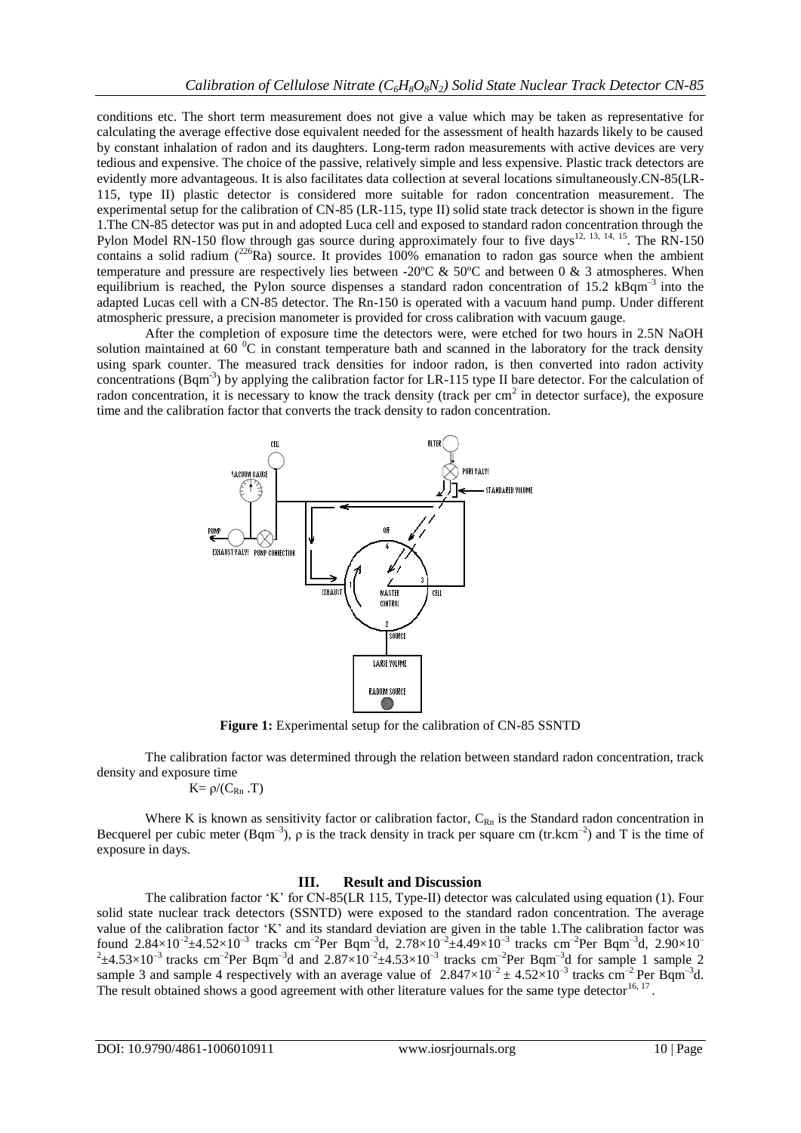conditions etc. The short term measurement does not give a value which may be taken as representative for calculating the average effective dose equivalent needed for the assessment of health hazards likely to be caused by constant inhalation of radon and its daughters. Long-term radon measurements with active devices are very tedious and expensive. The choice of the passive, relatively simple and less expensive. Plastic track detectors are evidently more advantageous. It is also facilitates data collection at several locations simultaneously.CN-85(LR-115, type II) plastic detector is considered more suitable for radon concentration measurement. The experimental setup for the calibration of CN-85 (LR-115, type II) solid state track detector is shown in the figure 1.The CN-85 detector was put in and adopted Luca cell and exposed to standard radon concentration through the Pylon Model RN-150 flow through gas source during approximately four to five days<sup>12, 13, 14, 15</sup>. The RN-150 contains a solid radium  $(^{226}Ra)$  source. It provides 100% emanation to radon gas source when the ambient temperature and pressure are respectively lies between -20 $\degree$ C & 50 $\degree$ C and between 0 & 3 atmospheres. When equilibrium is reached, the Pylon source dispenses a standard radon concentration of 15.2  $k\overline{Bgm}^{-3}$  into the adapted Lucas cell with a CN-85 detector. The Rn-150 is operated with a vacuum hand pump. Under different atmospheric pressure, a precision manometer is provided for cross calibration with vacuum gauge.

After the completion of exposure time the detectors were, were etched for two hours in 2.5N NaOH solution maintained at  $60^{\circ}$ C in constant temperature bath and scanned in the laboratory for the track density using spark counter. The measured track densities for indoor radon, is then converted into radon activity concentrations (Bqm<sup>-3</sup>) by applying the calibration factor for LR-115 type II bare detector. For the calculation of radon concentration, it is necessary to know the track density (track per  $cm<sup>2</sup>$  in detector surface), the exposure time and the calibration factor that converts the track density to radon concentration.



**Figure 1:** Experimental setup for the calibration of CN-85 SSNTD

The calibration factor was determined through the relation between standard radon concentration, track density and exposure time

$$
K\!\!=\rho\!/ (C_{Rn}\,.\,T)
$$

Where K is known as sensitivity factor or calibration factor,  $C_{Rn}$  is the Standard radon concentration in Becquerel per cubic meter (Bqm<sup>-3</sup>),  $\rho$  is the track density in track per square cm (tr.kcm<sup>-2</sup>) and T is the time of exposure in days.

## **III. Result and Discussion**

The calibration factor "K" for CN-85(LR 115, Type-II) detector was calculated using equation (1). Four solid state nuclear track detectors (SSNTD) were exposed to the standard radon concentration. The average value of the calibration factor "K" and its standard deviation are given in the table 1.The calibration factor was found 2.84×10<sup>-2</sup>±4.52×10<sup>-3</sup> tracks cm<sup>-2</sup>Per Bqm<sup>-3</sup>d, 2.78×10<sup>-2</sup>±4.49×10<sup>-3</sup> tracks cm<sup>-2</sup>Per Bqm<sup>-3</sup>d, 2.90×10<sup>-2</sup><br><sup>2</sup>±4.53×10<sup>-3</sup> tracks cm<sup>-2</sup>Per Bqm<sup>-3</sup>d and 2.87×10<sup>-2</sup>±4.53×10<sup>-3</sup> tracks cm<sup>-2</sup>Per Bqm<sup>-3</sup>d for s sample 3 and sample 4 respectively with an average value of  $2.847 \times 10^{-2} \pm 4.52 \times 10^{-3}$  tracks cm<sup>-2</sup> Per Bqm<sup>-3</sup>d. The result obtained shows a good agreement with other literature values for the same type detector<sup>16, 17</sup>.